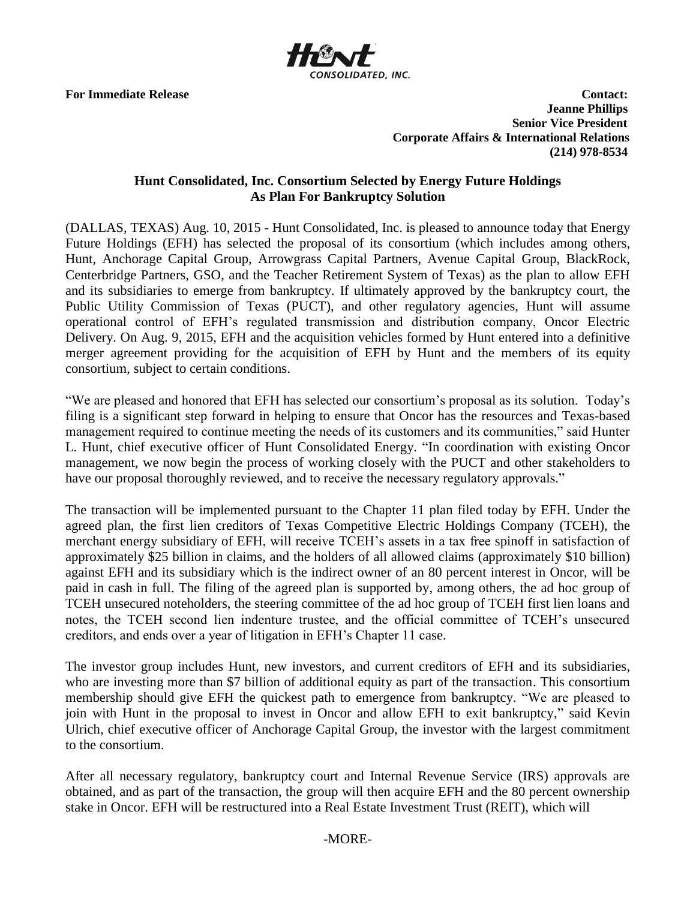

**For Immediate Release Contact: Contact: Contact: Contact: Contact: Contact: Contact: Contact: Contact: Contact: Contact: Contact: Contact: Contact: Contact: Contact: Contact: Contact: C Jeanne Phillips Senior Vice President Corporate Affairs & International Relations (214) 978-8534**

# **Hunt Consolidated, Inc. Consortium Selected by Energy Future Holdings As Plan For Bankruptcy Solution**

(DALLAS, TEXAS) Aug. 10, 2015 - Hunt Consolidated, Inc. is pleased to announce today that Energy Future Holdings (EFH) has selected the proposal of its consortium (which includes among others, Hunt, Anchorage Capital Group, Arrowgrass Capital Partners, Avenue Capital Group, BlackRock, Centerbridge Partners, GSO, and the Teacher Retirement System of Texas) as the plan to allow EFH and its subsidiaries to emerge from bankruptcy. If ultimately approved by the bankruptcy court, the Public Utility Commission of Texas (PUCT), and other regulatory agencies, Hunt will assume operational control of EFH's regulated transmission and distribution company, Oncor Electric Delivery. On Aug. 9, 2015, EFH and the acquisition vehicles formed by Hunt entered into a definitive merger agreement providing for the acquisition of EFH by Hunt and the members of its equity consortium, subject to certain conditions.

"We are pleased and honored that EFH has selected our consortium's proposal as its solution. Today's filing is a significant step forward in helping to ensure that Oncor has the resources and Texas-based management required to continue meeting the needs of its customers and its communities," said Hunter L. Hunt, chief executive officer of Hunt Consolidated Energy. "In coordination with existing Oncor management, we now begin the process of working closely with the PUCT and other stakeholders to have our proposal thoroughly reviewed, and to receive the necessary regulatory approvals."

The transaction will be implemented pursuant to the Chapter 11 plan filed today by EFH. Under the agreed plan, the first lien creditors of Texas Competitive Electric Holdings Company (TCEH), the merchant energy subsidiary of EFH, will receive TCEH's assets in a tax free spinoff in satisfaction of approximately \$25 billion in claims, and the holders of all allowed claims (approximately \$10 billion) against EFH and its subsidiary which is the indirect owner of an 80 percent interest in Oncor, will be paid in cash in full. The filing of the agreed plan is supported by, among others, the ad hoc group of TCEH unsecured noteholders, the steering committee of the ad hoc group of TCEH first lien loans and notes, the TCEH second lien indenture trustee, and the official committee of TCEH's unsecured creditors, and ends over a year of litigation in EFH's Chapter 11 case.

The investor group includes Hunt, new investors, and current creditors of EFH and its subsidiaries, who are investing more than \$7 billion of additional equity as part of the transaction. This consortium membership should give EFH the quickest path to emergence from bankruptcy. "We are pleased to join with Hunt in the proposal to invest in Oncor and allow EFH to exit bankruptcy," said Kevin Ulrich, chief executive officer of Anchorage Capital Group, the investor with the largest commitment to the consortium.

After all necessary regulatory, bankruptcy court and Internal Revenue Service (IRS) approvals are obtained, and as part of the transaction, the group will then acquire EFH and the 80 percent ownership stake in Oncor. EFH will be restructured into a Real Estate Investment Trust (REIT), which will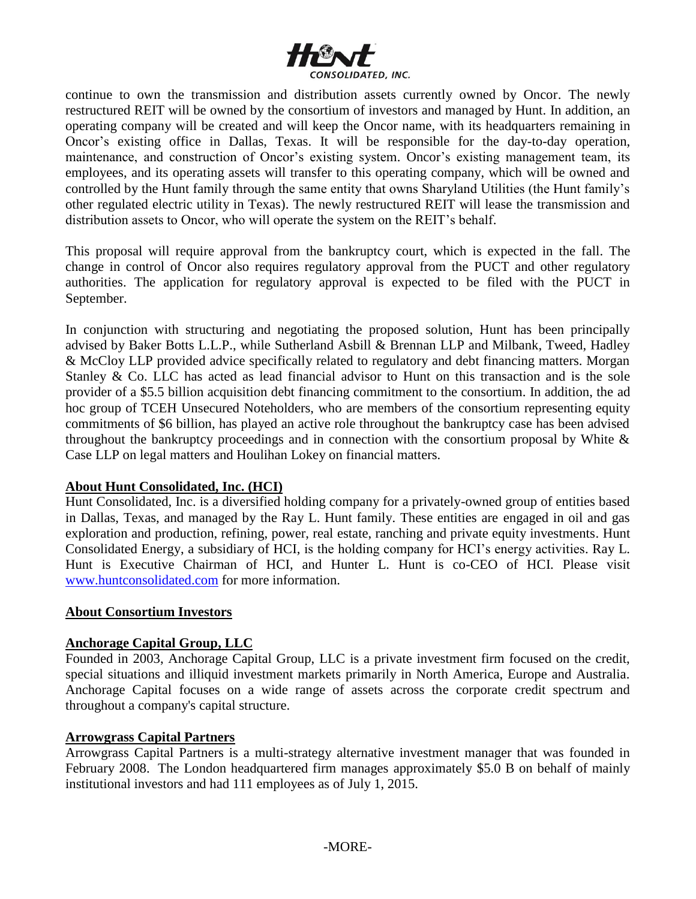

continue to own the transmission and distribution assets currently owned by Oncor. The newly restructured REIT will be owned by the consortium of investors and managed by Hunt. In addition, an operating company will be created and will keep the Oncor name, with its headquarters remaining in Oncor's existing office in Dallas, Texas. It will be responsible for the day-to-day operation, maintenance, and construction of Oncor's existing system. Oncor's existing management team, its employees, and its operating assets will transfer to this operating company, which will be owned and controlled by the Hunt family through the same entity that owns Sharyland Utilities (the Hunt family's other regulated electric utility in Texas). The newly restructured REIT will lease the transmission and distribution assets to Oncor, who will operate the system on the REIT's behalf.

This proposal will require approval from the bankruptcy court, which is expected in the fall. The change in control of Oncor also requires regulatory approval from the PUCT and other regulatory authorities. The application for regulatory approval is expected to be filed with the PUCT in September.

In conjunction with structuring and negotiating the proposed solution, Hunt has been principally advised by Baker Botts L.L.P., while Sutherland Asbill & Brennan LLP and Milbank, Tweed, Hadley & McCloy LLP provided advice specifically related to regulatory and debt financing matters. Morgan Stanley & Co. LLC has acted as lead financial advisor to Hunt on this transaction and is the sole provider of a \$5.5 billion acquisition debt financing commitment to the consortium. In addition, the ad hoc group of TCEH Unsecured Noteholders, who are members of the consortium representing equity commitments of \$6 billion, has played an active role throughout the bankruptcy case has been advised throughout the bankruptcy proceedings and in connection with the consortium proposal by White  $\&$ Case LLP on legal matters and Houlihan Lokey on financial matters.

# **About Hunt Consolidated, Inc. (HCI)**

Hunt Consolidated, Inc. is a diversified holding company for a privately-owned group of entities based in Dallas, Texas, and managed by the Ray L. Hunt family. These entities are engaged in oil and gas exploration and production, refining, power, real estate, ranching and private equity investments. Hunt Consolidated Energy, a subsidiary of HCI, is the holding company for HCI's energy activities. Ray L. Hunt is Executive Chairman of HCI, and Hunter L. Hunt is co-CEO of HCI. Please visit [www.huntconsolidated.com](http://www.huntconsolidated.com/) for more information.

# **About Consortium Investors**

# **Anchorage Capital Group, LLC**

Founded in 2003, Anchorage Capital Group, LLC is a private investment firm focused on the credit, special situations and illiquid investment markets primarily in North America, Europe and Australia. Anchorage Capital focuses on a wide range of assets across the corporate credit spectrum and throughout a company's capital structure.

#### **Arrowgrass Capital Partners**

Arrowgrass Capital Partners is a multi-strategy alternative investment manager that was founded in February 2008. The London headquartered firm manages approximately \$5.0 B on behalf of mainly institutional investors and had 111 employees as of July 1, 2015.